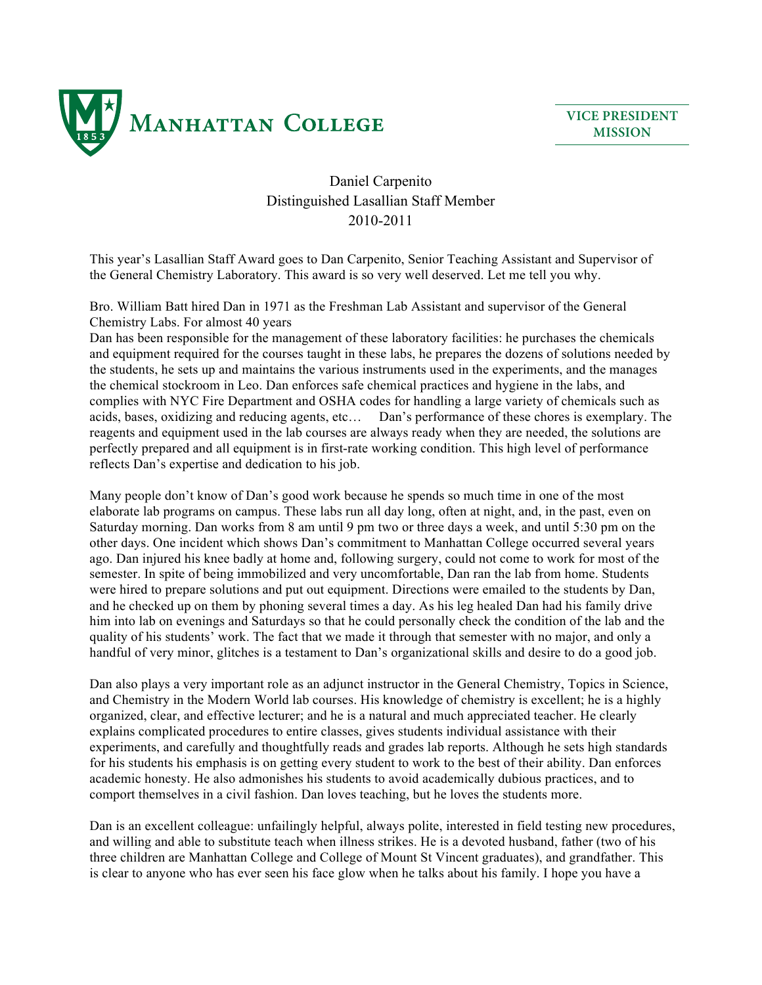

**VICE PRESIDENT MISSION**

## Daniel Carpenito Distinguished Lasallian Staff Member 2010-2011

This year's Lasallian Staff Award goes to Dan Carpenito, Senior Teaching Assistant and Supervisor of the General Chemistry Laboratory. This award is so very well deserved. Let me tell you why.

Bro. William Batt hired Dan in 1971 as the Freshman Lab Assistant and supervisor of the General Chemistry Labs. For almost 40 years

Dan has been responsible for the management of these laboratory facilities: he purchases the chemicals and equipment required for the courses taught in these labs, he prepares the dozens of solutions needed by the students, he sets up and maintains the various instruments used in the experiments, and the manages the chemical stockroom in Leo. Dan enforces safe chemical practices and hygiene in the labs, and complies with NYC Fire Department and OSHA codes for handling a large variety of chemicals such as acids, bases, oxidizing and reducing agents, etc… Dan's performance of these chores is exemplary. The reagents and equipment used in the lab courses are always ready when they are needed, the solutions are perfectly prepared and all equipment is in first-rate working condition. This high level of performance reflects Dan's expertise and dedication to his job.

Many people don't know of Dan's good work because he spends so much time in one of the most elaborate lab programs on campus. These labs run all day long, often at night, and, in the past, even on Saturday morning. Dan works from 8 am until 9 pm two or three days a week, and until 5:30 pm on the other days. One incident which shows Dan's commitment to Manhattan College occurred several years ago. Dan injured his knee badly at home and, following surgery, could not come to work for most of the semester. In spite of being immobilized and very uncomfortable, Dan ran the lab from home. Students were hired to prepare solutions and put out equipment. Directions were emailed to the students by Dan, and he checked up on them by phoning several times a day. As his leg healed Dan had his family drive him into lab on evenings and Saturdays so that he could personally check the condition of the lab and the quality of his students' work. The fact that we made it through that semester with no major, and only a handful of very minor, glitches is a testament to Dan's organizational skills and desire to do a good job.

Dan also plays a very important role as an adjunct instructor in the General Chemistry, Topics in Science, and Chemistry in the Modern World lab courses. His knowledge of chemistry is excellent; he is a highly organized, clear, and effective lecturer; and he is a natural and much appreciated teacher. He clearly explains complicated procedures to entire classes, gives students individual assistance with their experiments, and carefully and thoughtfully reads and grades lab reports. Although he sets high standards for his students his emphasis is on getting every student to work to the best of their ability. Dan enforces academic honesty. He also admonishes his students to avoid academically dubious practices, and to comport themselves in a civil fashion. Dan loves teaching, but he loves the students more.

Dan is an excellent colleague: unfailingly helpful, always polite, interested in field testing new procedures, and willing and able to substitute teach when illness strikes. He is a devoted husband, father (two of his three children are Manhattan College and College of Mount St Vincent graduates), and grandfather. This is clear to anyone who has ever seen his face glow when he talks about his family. I hope you have a